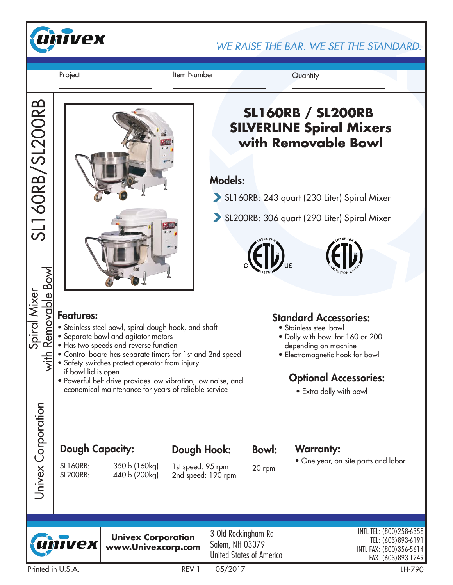

WE RAISE THE BAR. WE SET THE STANDARD.

Project **Item Number** Quantity

SL160RB/SL200RB

SL160RB/SL200RB

Spiral Mixer<br><u>Removable Bowl</u> with Removable Bowl

 $\frac{1}{2}$ 

Univex Corporation

Univex Corporation



# **SL160RB / SL200RB SILVERLINE Spiral Mixers with Removable Bowl**

#### Models:

- SL160RB: 243 quart (230 Liter) Spiral Mixer
- SL200RB: 306 quart (290 Liter) Spiral Mixer





- Stainless steel bowl, spiral dough hook, and shaft
- Separate bowl and agitator motors
- Has two speeds and reverse function
- Control board has separate timers for 1st and 2nd speed
- Safety switches protect operator from injury if bowl lid is open
- Powerful belt drive provides low vibration, low noise, and economical maintenance for years of reliable service

#### Standard Accessories:

- Stainless steel bowl
- Dolly with bowl for 160 or 200 depending on machine
- Electromagnetic hook for bowl

## Optional Accessories:

• Extra dolly with bowl

## Dough Capacity: Dough Hook: Bowl: Warranty:

SL160RB: 350lb (160kg) SL200RB: 440lb (200kg)

> **Univex Corporation www.Univexcorp.com**

1st speed: 95 rpm 2nd speed: 190 rpm

Dough Hook:

Bowl:

20 rpm

3 Old Rockingham Rd Salem, NH 03079 United States of America • One year, on-site parts and labor



Printed in U.S.A. REV 1 05/2017 LH-790

INTL TEL: (800)258-6358 TEL: (603)893-6191 INTL FAX: (800)356-5614 FAX: (603)893-1249